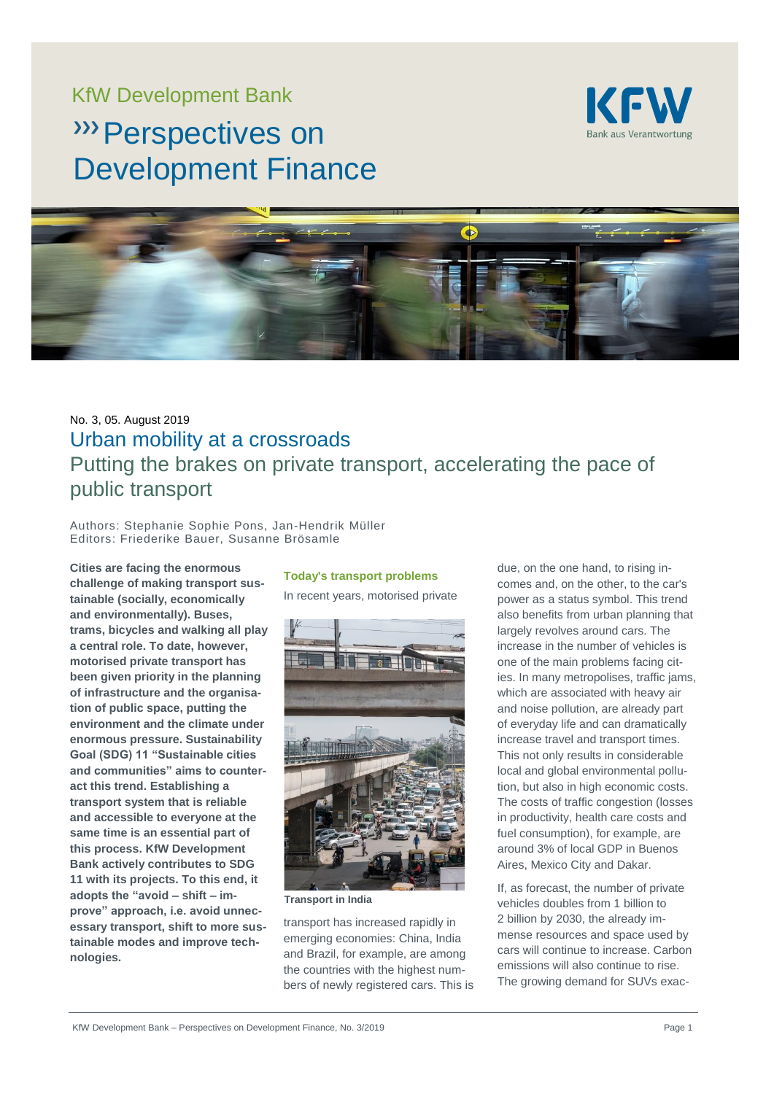# KfW Development Bank

# **W** Perspectives on Development Finance





# No. 3, 05. August 2019 Urban mobility at a crossroads Putting the brakes on private transport, accelerating the pace of public transport

Authors: Stephanie Sophie Pons, Jan-Hendrik Müller Editors: Friederike Bauer, Susanne Brösamle

**Cities are facing the enormous challenge of making transport sustainable (socially, economically and environmentally). Buses, trams, bicycles and walking all play a central role. To date, however, motorised private transport has been given priority in the planning of infrastructure and the organisation of public space, putting the environment and the climate under enormous pressure. Sustainability Goal (SDG) 11 "Sustainable cities and communities" aims to counteract this trend. Establishing a transport system that is reliable and accessible to everyone at the same time is an essential part of this process. KfW Development Bank actively contributes to SDG 11 with its projects. To this end, it adopts the "avoid – shift – improve" approach, i.e. avoid unnecessary transport, shift to more sustainable modes and improve technologies.**

# **Today's transport problems**

In recent years, motorised private



**Transport in India**

transport has increased rapidly in emerging economies: China, India and Brazil, for example, are among the countries with the highest numbers of newly registered cars. This is due, on the one hand, to rising incomes and, on the other, to the car's power as a status symbol. This trend also benefits from urban planning that largely revolves around cars. The increase in the number of vehicles is one of the main problems facing cities. In many metropolises, traffic jams, which are associated with heavy air and noise pollution, are already part of everyday life and can dramatically increase travel and transport times. This not only results in considerable local and global environmental pollution, but also in high economic costs. The costs of traffic congestion (losses in productivity, health care costs and fuel consumption), for example, are around 3% of local GDP in Buenos Aires, Mexico City and Dakar.

If, as forecast, the number of private vehicles doubles from 1 billion to 2 billion by 2030, the already immense resources and space used by cars will continue to increase. Carbon emissions will also continue to rise. The growing demand for SUVs exac-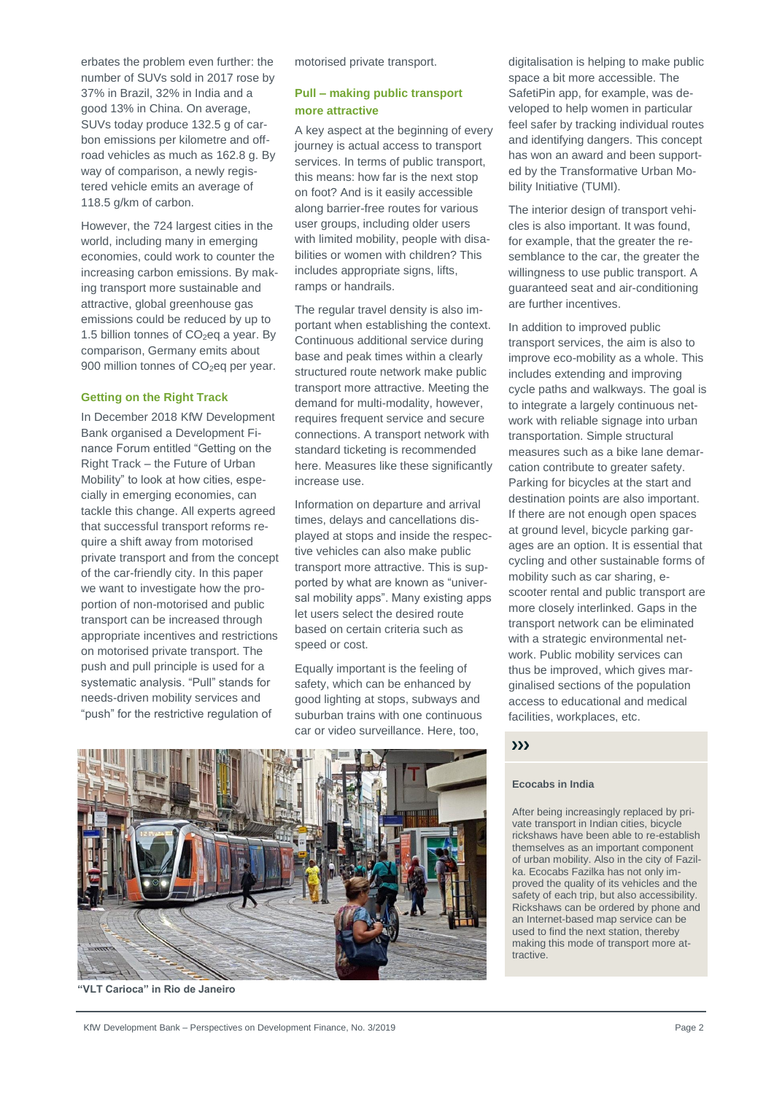erbates the problem even further: the number of SUVs sold in 2017 rose by 37% in Brazil, 32% in India and a good 13% in China. On average, SUVs today produce 132.5 g of carbon emissions per kilometre and offroad vehicles as much as 162.8 g. By way of comparison, a newly registered vehicle emits an average of 118.5 g/km of carbon.

However, the 724 largest cities in the world, including many in emerging economies, could work to counter the increasing carbon emissions. By making transport more sustainable and attractive, global greenhouse gas emissions could be reduced by up to 1.5 billion tonnes of  $CO<sub>2</sub>$ eq a year. By comparison, Germany emits about 900 million tonnes of CO<sub>2</sub>eq per year.

#### **Getting on the Right Track**

In December 2018 KfW Development Bank organised a Development Finance Forum entitled "Getting on the Right Track – the Future of Urban Mobility" to look at how cities, especially in emerging economies, can tackle this change. All experts agreed that successful transport reforms require a shift away from motorised private transport and from the concept of the car-friendly city. In this paper we want to investigate how the proportion of non-motorised and public transport can be increased through appropriate incentives and restrictions on motorised private transport. The push and pull principle is used for a systematic analysis. "Pull" stands for needs-driven mobility services and "push" for the restrictive regulation of

motorised private transport.

# **Pull – making public transport more attractive**

A key aspect at the beginning of every journey is actual access to transport services. In terms of public transport, this means: how far is the next stop on foot? And is it easily accessible along barrier-free routes for various user groups, including older users with limited mobility, people with disabilities or women with children? This includes appropriate signs, lifts, ramps or handrails.

The regular travel density is also important when establishing the context. Continuous additional service during base and peak times within a clearly structured route network make public transport more attractive. Meeting the demand for multi-modality, however, requires frequent service and secure connections. A transport network with standard ticketing is recommended here. Measures like these significantly increase use.

Information on departure and arrival times, delays and cancellations displayed at stops and inside the respective vehicles can also make public transport more attractive. This is supported by what are known as "universal mobility apps". Many existing apps let users select the desired route based on certain criteria such as speed or cost.

Equally important is the feeling of safety, which can be enhanced by good lighting at stops, subways and suburban trains with one continuous car or video surveillance. Here, too,

digitalisation is helping to make public space a bit more accessible. The SafetiPin app, for example, was developed to help women in particular feel safer by tracking individual routes and identifying dangers. This concept has won an award and been supported by the Transformative Urban Mobility Initiative (TUMI).

The interior design of transport vehicles is also important. It was found, for example, that the greater the resemblance to the car, the greater the willingness to use public transport. A guaranteed seat and air-conditioning are further incentives.

In addition to improved public transport services, the aim is also to improve eco-mobility as a whole. This includes extending and improving cycle paths and walkways. The goal is to integrate a largely continuous network with reliable signage into urban transportation. Simple structural measures such as a bike lane demarcation contribute to greater safety. Parking for bicycles at the start and destination points are also important. If there are not enough open spaces at ground level, bicycle parking garages are an option. It is essential that cycling and other sustainable forms of mobility such as car sharing, escooter rental and public transport are more closely interlinked. Gaps in the transport network can be eliminated with a strategic environmental network. Public mobility services can thus be improved, which gives marginalised sections of the population access to educational and medical facilities, workplaces, etc.



**"VLT Carioca" in Rio de Janeiro**

#### $\mathbf{y}$

#### **Ecocabs in India**

After being increasingly replaced by private transport in Indian cities, bicycle rickshaws have been able to re-establish themselves as an important component of urban mobility. Also in the city of Fazilka. Ecocabs Fazilka has not only improved the quality of its vehicles and the safety of each trip, but also accessibility. Rickshaws can be ordered by phone and an Internet-based map service can be used to find the next station, thereby making this mode of transport more attractive.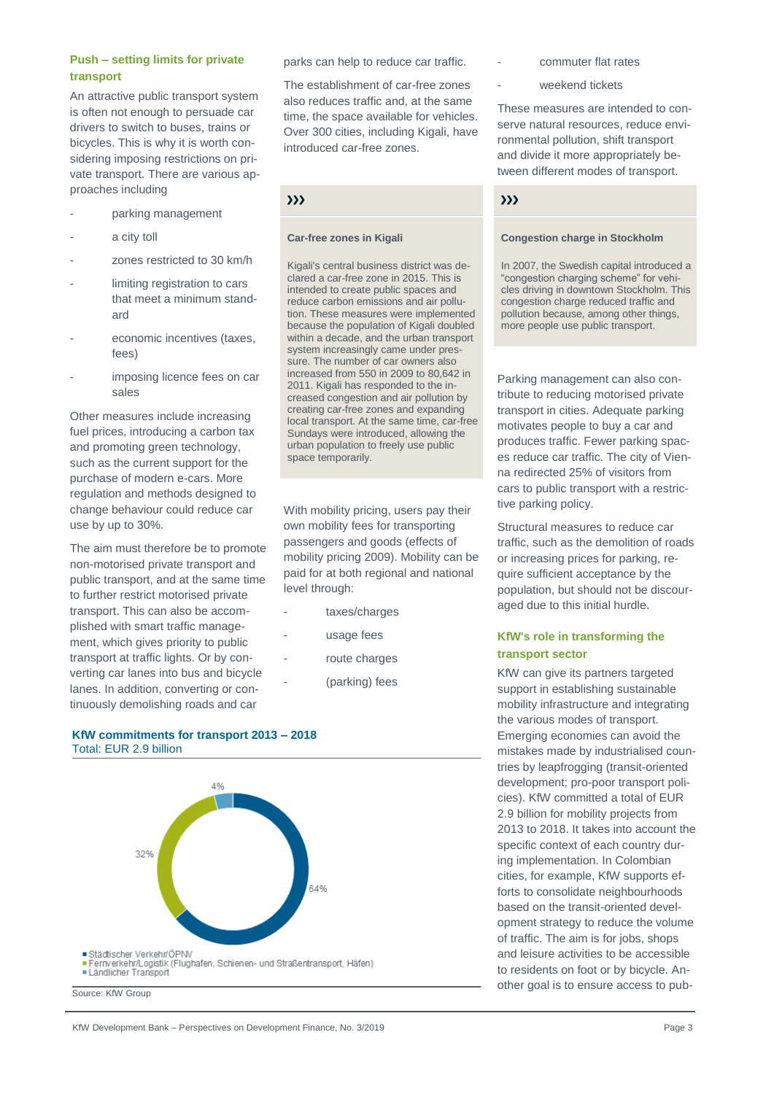# **Push – setting limits for private transport**

An attractive public transport system is often not enough to persuade car drivers to switch to buses, trains or bicycles. This is why it is worth considering imposing restrictions on private transport. There are various approaches including

- parking management
- a city toll
- zones restricted to 30 km/h
- limiting registration to cars that meet a minimum standard
- economic incentives (taxes, fees)
- imposing licence fees on car sales

Other measures include increasing fuel prices, introducing a carbon tax and promoting green technology, such as the current support for the purchase of modern e-cars. More regulation and methods designed to change behaviour could reduce car use by up to 30%.

The aim must therefore be to promote non-motorised private transport and public transport, and at the same time to further restrict motorised private transport. This can also be accomplished with smart traffic management, which gives priority to public transport at traffic lights. Or by converting car lanes into bus and bicycle lanes. In addition, converting or continuously demolishing roads and car

**KfW commitments for transport 2013 – 2018** Total: EUR 2.9 billion



KfW Development Bank – Perspectives on Development Finance, No. 3/2019 **Page 3** Page 3

parks can help to reduce car traffic.

The establishment of car-free zones also reduces traffic and, at the same time, the space available for vehicles. Over 300 cities, including Kigali, have introduced car-free zones.

# $\mathbf{y}$

#### **Car-free zones in Kigali**

Kigali's central business district was declared a car-free zone in 2015. This is intended to create public spaces and reduce carbon emissions and air pollution. These measures were implemented because the population of Kigali doubled within a decade, and the urban transport system increasingly came under pressure. The number of car owners also increased from 550 in 2009 to 80,642 in 2011. Kigali has responded to the increased congestion and air pollution by creating car-free zones and expanding local transport. At the same time, car-free Sundays were introduced, allowing the urban population to freely use public space temporarily.

With mobility pricing, users pay their own mobility fees for transporting passengers and goods (effects of mobility pricing 2009). Mobility can be paid for at both regional and national level through:

- taxes/charges
- usage fees
- route charges
	- (parking) fees
- commuter flat rates
- weekend tickets

These measures are intended to conserve natural resources, reduce environmental pollution, shift transport and divide it more appropriately between different modes of transport.

### $\sum$

#### **Congestion charge in Stockholm**

In 2007, the Swedish capital introduced a "congestion charging scheme" for vehicles driving in downtown Stockholm. This congestion charge reduced traffic and pollution because, among other things, more people use public transport.

Parking management can also contribute to reducing motorised private transport in cities. Adequate parking motivates people to buy a car and produces traffic. Fewer parking spaces reduce car traffic. The city of Vienna redirected 25% of visitors from cars to public transport with a restrictive parking policy.

Structural measures to reduce car traffic, such as the demolition of roads or increasing prices for parking, require sufficient acceptance by the population, but should not be discouraged due to this initial hurdle.

# **KfW's role in transforming the transport sector**

KfW can give its partners targeted support in establishing sustainable mobility infrastructure and integrating the various modes of transport. Emerging economies can avoid the mistakes made by industrialised countries by leapfrogging (transit-oriented development; pro-poor transport policies). KfW committed a total of EUR 2.9 billion for mobility projects from 2013 to 2018. It takes into account the specific context of each country during implementation. In Colombian cities, for example, KfW supports efforts to consolidate neighbourhoods based on the transit-oriented development strategy to reduce the volume of traffic. The aim is for jobs, shops and leisure activities to be accessible to residents on foot or by bicycle. Another goal is to ensure access to pub-